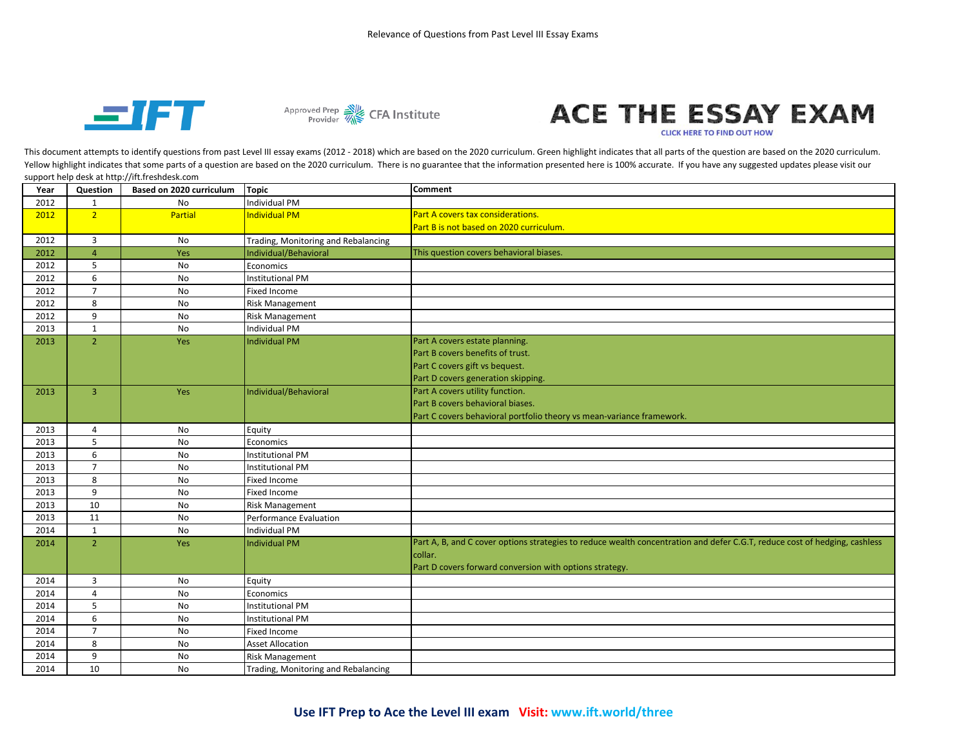



## ACE THE ESSAY EXAM

**CLICK HERE TO FIND OUT HOW** 

This document attempts to identify questions from past Level III essay exams (2012 - 2018) which are based on the 2020 curriculum. Green highlight indicates that all parts of the question are based on the 2020 curriculum. Yellow highlight indicates that some parts of a question are based on the 2020 curriculum. There is no guarantee that the information presented here is 100% accurate. If you have any suggested updates please visit our support help desk at http://ift.freshdesk.com

| Year | Question       | Based on 2020 curriculum | <b>Topic</b>                        | <b>Comment</b>                                                                                                             |
|------|----------------|--------------------------|-------------------------------------|----------------------------------------------------------------------------------------------------------------------------|
| 2012 | $\mathbf{1}$   | No                       | <b>Individual PM</b>                |                                                                                                                            |
| 2012 | 2 <sup>1</sup> | <b>Partial</b>           | <b>Individual PM</b>                | Part A covers tax considerations.                                                                                          |
|      |                |                          |                                     | Part B is not based on 2020 curriculum.                                                                                    |
| 2012 | $\overline{3}$ | No                       | Trading, Monitoring and Rebalancing |                                                                                                                            |
| 2012 | $\overline{4}$ | Yes                      | Individual/Behavioral               | This question covers behavioral biases.                                                                                    |
| 2012 | 5              | No                       | Economics                           |                                                                                                                            |
| 2012 | 6              | No                       | <b>Institutional PM</b>             |                                                                                                                            |
| 2012 | $\overline{7}$ | No                       | <b>Fixed Income</b>                 |                                                                                                                            |
| 2012 | 8              | No                       | <b>Risk Management</b>              |                                                                                                                            |
| 2012 | 9              | No                       | <b>Risk Management</b>              |                                                                                                                            |
| 2013 | $\mathbf{1}$   | No                       | <b>Individual PM</b>                |                                                                                                                            |
| 2013 | $\overline{2}$ | <b>Yes</b>               | <b>Individual PM</b>                | Part A covers estate planning.                                                                                             |
|      |                |                          |                                     | Part B covers benefits of trust.                                                                                           |
|      |                |                          |                                     | Part C covers gift vs bequest.                                                                                             |
|      |                |                          |                                     | Part D covers generation skipping.                                                                                         |
| 2013 | $\overline{3}$ | Yes                      | Individual/Behavioral               | Part A covers utility function.                                                                                            |
|      |                |                          |                                     | Part B covers behavioral biases.                                                                                           |
|      |                |                          |                                     | Part C covers behavioral portfolio theory vs mean-variance framework.                                                      |
| 2013 | 4              | No                       | Equity                              |                                                                                                                            |
| 2013 | 5              | No                       | Economics                           |                                                                                                                            |
| 2013 | 6              | <b>No</b>                | <b>Institutional PM</b>             |                                                                                                                            |
| 2013 | $\overline{7}$ | No                       | <b>Institutional PM</b>             |                                                                                                                            |
| 2013 | 8              | No                       | Fixed Income                        |                                                                                                                            |
| 2013 | 9              | No                       | Fixed Income                        |                                                                                                                            |
| 2013 | 10             | No                       | <b>Risk Management</b>              |                                                                                                                            |
| 2013 | 11             | No                       | <b>Performance Evaluation</b>       |                                                                                                                            |
| 2014 | $\mathbf{1}$   | No                       | <b>Individual PM</b>                |                                                                                                                            |
| 2014 | $\overline{2}$ | Yes                      | Individual PM                       | Part A, B, and C cover options strategies to reduce wealth concentration and defer C.G.T, reduce cost of hedging, cashless |
|      |                |                          |                                     | collar.                                                                                                                    |
|      |                |                          |                                     | Part D covers forward conversion with options strategy.                                                                    |
| 2014 | 3              | <b>No</b>                | Equity                              |                                                                                                                            |
| 2014 | 4              | <b>No</b>                | Economics                           |                                                                                                                            |
| 2014 | 5              | No                       | <b>Institutional PM</b>             |                                                                                                                            |
| 2014 | 6              | No                       | <b>Institutional PM</b>             |                                                                                                                            |
| 2014 | $\overline{7}$ | No                       | Fixed Income                        |                                                                                                                            |
| 2014 | 8              | No                       | <b>Asset Allocation</b>             |                                                                                                                            |
| 2014 | 9              | No                       | <b>Risk Management</b>              |                                                                                                                            |
| 2014 | 10             | <b>No</b>                | Trading, Monitoring and Rebalancing |                                                                                                                            |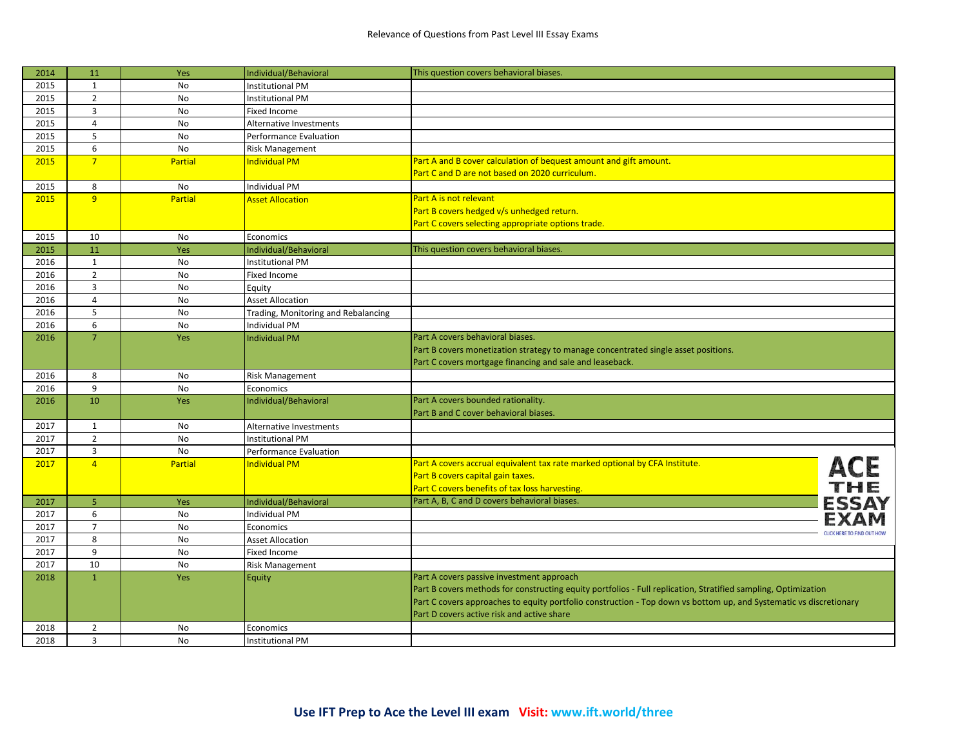| 2014 | 11             | Yes            | Individual/Behavioral               | This question covers behavioral biases.                                                                            |  |
|------|----------------|----------------|-------------------------------------|--------------------------------------------------------------------------------------------------------------------|--|
| 2015 | $\mathbf{1}$   | No             | <b>Institutional PM</b>             |                                                                                                                    |  |
| 2015 | $\overline{2}$ | <b>No</b>      | <b>Institutional PM</b>             |                                                                                                                    |  |
| 2015 | $\overline{3}$ | No             | Fixed Income                        |                                                                                                                    |  |
| 2015 | $\overline{4}$ | No             | Alternative Investments             |                                                                                                                    |  |
| 2015 | 5              | No             | Performance Evaluation              |                                                                                                                    |  |
| 2015 | 6              | <b>No</b>      | <b>Risk Management</b>              |                                                                                                                    |  |
| 2015 | $\overline{7}$ | <b>Partial</b> | <b>Individual PM</b>                | Part A and B cover calculation of bequest amount and gift amount.                                                  |  |
|      |                |                |                                     | Part C and D are not based on 2020 curriculum.                                                                     |  |
| 2015 | 8              | No             | <b>Individual PM</b>                |                                                                                                                    |  |
| 2015 | 9              | <b>Partial</b> | <b>Asset Allocation</b>             | Part A is not relevant                                                                                             |  |
|      |                |                |                                     | Part B covers hedged v/s unhedged return.                                                                          |  |
|      |                |                |                                     | Part C covers selecting appropriate options trade.                                                                 |  |
| 2015 | 10             | No             | Economics                           |                                                                                                                    |  |
| 2015 | 11             | Yes            | Individual/Behavioral               | This question covers behavioral biases.                                                                            |  |
| 2016 | $\mathbf 1$    | No             | <b>Institutional PM</b>             |                                                                                                                    |  |
| 2016 | $\overline{2}$ | No             | Fixed Income                        |                                                                                                                    |  |
| 2016 | $\overline{3}$ | No             | Equity                              |                                                                                                                    |  |
| 2016 | $\overline{4}$ | No             | <b>Asset Allocation</b>             |                                                                                                                    |  |
| 2016 | 5              | No             | Trading, Monitoring and Rebalancing |                                                                                                                    |  |
| 2016 | 6              | No             | Individual PM                       |                                                                                                                    |  |
| 2016 | $\overline{7}$ | Yes            | <b>Individual PM</b>                | Part A covers behavioral biases.                                                                                   |  |
|      |                |                |                                     | Part B covers monetization strategy to manage concentrated single asset positions.                                 |  |
|      |                |                |                                     | Part C covers mortgage financing and sale and leaseback.                                                           |  |
| 2016 | 8              | No             | <b>Risk Management</b>              |                                                                                                                    |  |
| 2016 | 9              | No             | Economics                           |                                                                                                                    |  |
| 2016 | 10             | Yes            | Individual/Behavioral               | Part A covers bounded rationality.                                                                                 |  |
|      |                |                |                                     | Part B and C cover behavioral biases.                                                                              |  |
| 2017 | $\mathbf{1}$   | No             | Alternative Investments             |                                                                                                                    |  |
| 2017 | $\overline{2}$ | No             | <b>Institutional PM</b>             |                                                                                                                    |  |
| 2017 | $\overline{3}$ | No             | Performance Evaluation              |                                                                                                                    |  |
| 2017 | $\overline{4}$ | <b>Partial</b> | <b>Individual PM</b>                | Part A covers accrual equivalent tax rate marked optional by CFA Institute.                                        |  |
|      |                |                |                                     | Part B covers capital gain taxes.                                                                                  |  |
|      |                |                |                                     | ACE<br>Part C covers benefits of tax loss harvesting.                                                              |  |
| 2017 | 5 <sup>1</sup> | Yes            | Individual/Behavioral               | <b>ESSAY</b><br>Part A, B, C and D covers behavioral biases.                                                       |  |
| 2017 | 6              | No             | <b>Individual PM</b>                |                                                                                                                    |  |
| 2017 | $\overline{7}$ | No             | Economics                           |                                                                                                                    |  |
| 2017 | 8              | No             | <b>Asset Allocation</b>             | <b>CLICK HERE TO FIND OUT HOW</b>                                                                                  |  |
| 2017 | 9              | No             | Fixed Income                        |                                                                                                                    |  |
| 2017 | 10             | <b>No</b>      | <b>Risk Management</b>              |                                                                                                                    |  |
| 2018 | $\mathbf{1}$   | Yes            | Equity                              | Part A covers passive investment approach                                                                          |  |
|      |                |                |                                     | Part B covers methods for constructing equity portfolios - Full replication, Stratified sampling, Optimization     |  |
|      |                |                |                                     | Part C covers approaches to equity portfolio construction - Top down vs bottom up, and Systematic vs discretionary |  |
|      |                |                |                                     | Part D covers active risk and active share                                                                         |  |
| 2018 | $\overline{2}$ | No             | Economics                           |                                                                                                                    |  |
| 2018 | $\overline{3}$ | <b>No</b>      | <b>Institutional PM</b>             |                                                                                                                    |  |
|      |                |                |                                     |                                                                                                                    |  |